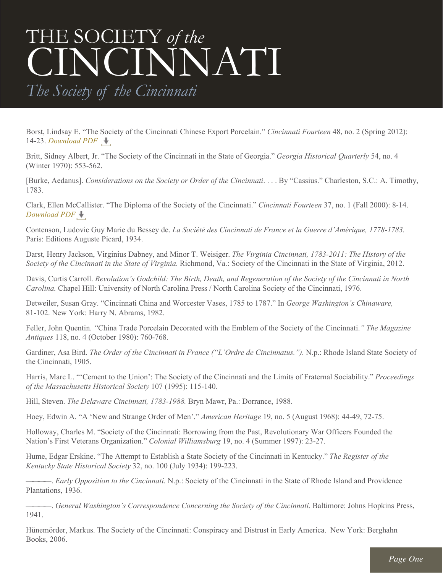## THE SOCIETY *of the* CINCINNATI

*The Society of the Cincinnati*

Borst, Lindsay E. "The Society of the Cincinnati Chinese Export Porcelain." *Cincinnati Fourteen* 48, no. 2 (Spring 2012): 14-23. *[Download PDF](http://www.societyofthecincinnati.org/pdf/reading_lists/sotc_list_ChineseExportPorcelain.pdf)*

Britt, Sidney Albert, Jr. "The Society of the Cincinnati in the State of Georgia." *Georgia Historical Quarterly* 54, no. 4 (Winter 1970): 553-562.

[Burke, Aedanus]. *Considerations on the Society or Order of the Cincinnati*. . . . By "Cassius." Charleston, S.C.: A. Timothy, 1783.

Clark, Ellen McCallister. "The Diploma of the Society of the Cincinnati." *Cincinnati Fourteen* 37, no. 1 (Fall 2000): 8-14. *[Download PDF](http://www.societyofthecincinnati.org/pdf/reading_lists/scholarship_lists_Cincinnati_Diplomas.pdf)* 

Contenson, Ludovic Guy Marie du Bessey de. *La Société des Cincinnati de France et la Guerre d'Amérique, 1778-1783.*  Paris: Editions Auguste Picard, 1934.

Darst, Henry Jackson, Virginius Dabney, and Minor T. Weisiger. *The Virginia Cincinnati, 1783-2011: The History of the Society of the Cincinnati in the State of Virginia.* Richmond, Va.: Society of the Cincinnati in the State of Virginia, 2012.

Davis, Curtis Carroll. *Revolution's Godchild: The Birth, Death, and Regeneration of the Society of the Cincinnati in North Carolina.* Chapel Hill: University of North Carolina Press / North Carolina Society of the Cincinnati, 1976.

Detweiler, Susan Gray. "Cincinnati China and Worcester Vases, 1785 to 1787." In *George Washington's Chinaware,* 81-102. New York: Harry N. Abrams, 1982.

Feller, John Quentin. *"*China Trade Porcelain Decorated with the Emblem of the Society of the Cincinnati.*" The Magazine Antiques* 118, no. 4 (October 1980): 760-768.

Gardiner, Asa Bird. *The Order of the Cincinnati in France ("L'Ordre de Cincinnatus.")*. N.p.: Rhode Island State Society of the Cincinnati, 1905.

Harris, Marc L. "'Cement to the Union': The Society of the Cincinnati and the Limits of Fraternal Sociability." *Proceedings of the Massachusetts Historical Society* 107 (1995): 115-140.

Hill, Steven. *The Delaware Cincinnati, 1783-1988.* Bryn Mawr, Pa.: Dorrance, 1988.

Hoey, Edwin A. "A 'New and Strange Order of Men'." *American Heritage* 19, no. 5 (August 1968): 44-49, 72-75.

Holloway, Charles M. "Society of the Cincinnati: Borrowing from the Past, Revolutionary War Officers Founded the Nation's First Veterans Organization." *Colonial Williamsburg* 19, no. 4 (Summer 1997): 23-27.

Hume, Edgar Erskine. "The Attempt to Establish a State Society of the Cincinnati in Kentucky." *The Register of the Kentucky State Historical Society* 32, no. 100 (July 1934): 199-223.

————. *Early Opposition to the Cincinnati.* N.p.: Society of the Cincinnati in the State of Rhode Island and Providence Plantations, 1936.

————. *General Washington's Correspondence Concerning the Society of the Cincinnati.* Baltimore: Johns Hopkins Press, 1941.

Hünemörder, Markus. The Society of the Cincinnati: Conspiracy and Distrust in Early America. New York: Berghahn Books, 2006.